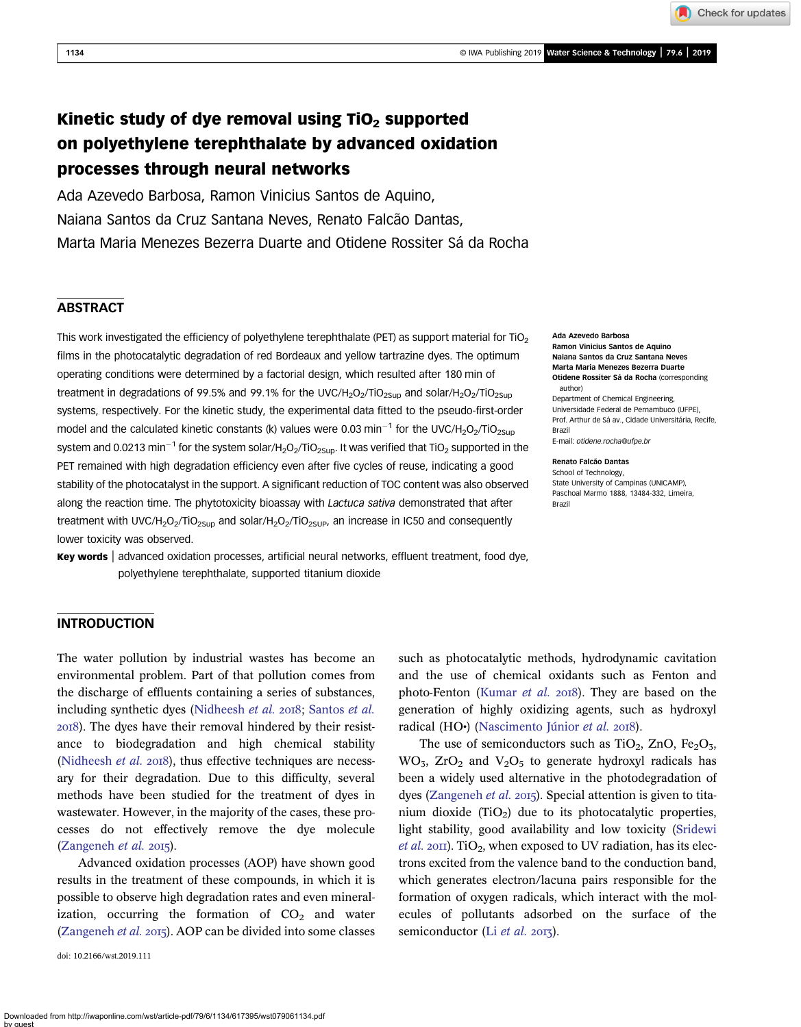1134 © IWA Publishing 2019 Water Science & Technology | 79.6 | 2019

Check for updates

# Kinetic study of dye removal using  $TiO<sub>2</sub>$  supported on polyethylene terephthalate by advanced oxidation processes through neural networks

Ada Azevedo Barbosa, Ramon Vinicius Santos de Aquino, Naiana Santos da Cruz Santana Neves, Renato Falcão Dantas, Marta Maria Menezes Bezerra Duarte and Otidene Rossiter Sá da Rocha

# **ABSTRACT**

This work investigated the efficiency of polyethylene terephthalate (PET) as support material for  $TiO<sub>2</sub>$ films in the photocatalytic degradation of red Bordeaux and yellow tartrazine dyes. The optimum operating conditions were determined by a factorial design, which resulted after 180 min of treatment in degradations of 99.5% and 99.1% for the UVC/H<sub>2</sub>O<sub>2</sub>/TiO<sub>2Sup</sub> and solar/H<sub>2</sub>O<sub>2</sub>/TiO<sub>2Sup</sub> systems, respectively. For the kinetic study, the experimental data fitted to the pseudo-first-order model and the calculated kinetic constants (k) values were 0.03 min<sup>-1</sup> for the UVC/H<sub>2</sub>O<sub>2</sub>/TiO<sub>2Sup</sub> system and 0.0213 min<sup>-1</sup> for the system solar/H<sub>2</sub>O<sub>2</sub>/TiO<sub>2Sup</sub>. It was verified that TiO<sub>2</sub> supported in the PET remained with high degradation efficiency even after five cycles of reuse, indicating a good stability of the photocatalyst in the support. A significant reduction of TOC content was also observed along the reaction time. The phytotoxicity bioassay with *Lactuca sativa* demonstrated that after treatment with UVC/H<sub>2</sub>O<sub>2</sub>/TiO<sub>2Sup</sub> and solar/H<sub>2</sub>O<sub>2</sub>/TiO<sub>2SUP</sub>, an increase in IC50 and consequently lower toxicity was observed.

Key words | advanced oxidation processes, artificial neural networks, effluent treatment, food dye, polyethylene terephthalate, supported titanium dioxide

#### Ada Azevedo Barbosa

Ramon Vinicius Santos de Aquino Naiana Santos da Cruz Santana Neves Marta Maria Menezes Bezerra Duarte Otidene Rossiter Sá da Rocha (corresponding author)

Department of Chemical Engineering, Universidade Federal de Pernambuco (UFPE), Prof. Arthur de Sá av., Cidade Universitária, Recife, Brazil E-mail: [otidene.rocha@ufpe.br](mailto:otidene.rocha@ufpe.br)

#### Renato Falcão Dantas

School of Technology, State University of Campinas (UNICAMP), Paschoal Marmo 1888, 13484-332, Limeira, Brazil

## INTRODUCTION

The water pollution by industrial wastes has become an environmental problem. Part of that pollution comes from the discharge of effluents containing a series of substances, including synthetic dyes ([Nidheesh](#page-9-0) et al. 2018; [Santos](#page-9-0) et al. ). The dyes have their removal hindered by their resistance to biodegradation and high chemical stability ([Nidheesh](#page-9-0) et al.  $2018$ ), thus effective techniques are necessary for their degradation. Due to this difficulty, several methods have been studied for the treatment of dyes in wastewater. However, in the majority of the cases, these processes do not effectively remove the dye molecule  $(Zangeneh et al. 2015).$  $(Zangeneh et al. 2015).$  $(Zangeneh et al. 2015).$ 

Advanced oxidation processes (AOP) have shown good results in the treatment of these compounds, in which it is possible to observe high degradation rates and even mineralization, occurring the formation of  $CO<sub>2</sub>$  and water ([Zangeneh](#page-9-0) et al. 2015). AOP can be divided into some classes

doi: 10.2166/wst.2019.111

such as photocatalytic methods, hydrodynamic cavitation and the use of chemical oxidants such as Fenton and photo-Fenton [\(Kumar](#page-9-0) et al. 2018). They are based on the generation of highly oxidizing agents, such as hydroxyl radical (HO•) [\(Nascimento Júnior](#page-9-0) et al. 2018).

The use of semiconductors such as  $TiO<sub>2</sub>$ , ZnO, Fe<sub>2</sub>O<sub>3</sub>,  $WO_3$ ,  $ZrO_2$  and  $V_2O_5$  to generate hydroxyl radicals has been a widely used alternative in the photodegradation of dyes ([Zangeneh](#page-9-0) et al. 2015). Special attention is given to titanium dioxide  $(TiO_2)$  due to its photocatalytic properties, light stability, good availability and low toxicity ([Sridewi](#page-9-0) *[et al.](#page-9-0)* 2011). TiO<sub>2</sub>, when exposed to UV radiation, has its electrons excited from the valence band to the conduction band, which generates electron/lacuna pairs responsible for the formation of oxygen radicals, which interact with the molecules of pollutants adsorbed on the surface of the semiconductor (Li [et al.](#page-9-0) 2013).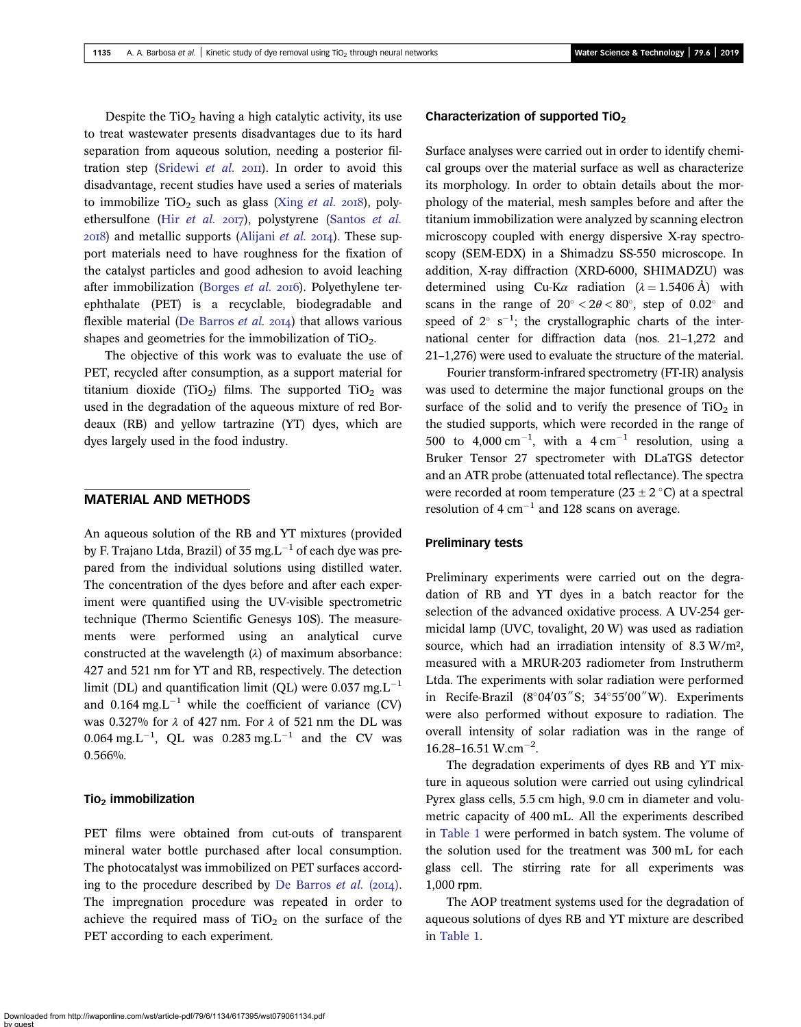Despite the  $TiO<sub>2</sub>$  having a high catalytic activity, its use to treat wastewater presents disadvantages due to its hard separation from aqueous solution, needing a posterior fil-tration step ([Sridewi](#page-9-0) et al.  $20\text{H}$ ). In order to avoid this disadvantage, recent studies have used a series of materials to immobilize  $TiO<sub>2</sub>$  such as glass (Xing *[et al.](#page-9-0)* 2018), polyethersulfone (Hir [et al.](#page-9-0)  $20T$ ), polystyrene [\(Santos](#page-9-0) et al.  $20I8$ ) and metallic supports [\(Alijani](#page-9-0) *et al.*  $20I4$ ). These support materials need to have roughness for the fixation of the catalyst particles and good adhesion to avoid leaching after immobilization ([Borges](#page-9-0) et al. 2016). Polyethylene terephthalate (PET) is a recyclable, biodegradable and flexible material [\(De Barros](#page-9-0) et al. 2014) that allows various shapes and geometries for the immobilization of  $TiO<sub>2</sub>$ .

The objective of this work was to evaluate the use of PET, recycled after consumption, as a support material for titanium dioxide (TiO<sub>2</sub>) films. The supported  $TiO<sub>2</sub>$  was used in the degradation of the aqueous mixture of red Bordeaux (RB) and yellow tartrazine (YT) dyes, which are dyes largely used in the food industry.

## MATERIAL AND METHODS

An aqueous solution of the RB and YT mixtures (provided by F. Trajano Ltda, Brazil) of 35 mg. $L^{-1}$  of each dye was prepared from the individual solutions using distilled water. The concentration of the dyes before and after each experiment were quantified using the UV-visible spectrometric technique (Thermo Scientific Genesys 10S). The measurements were performed using an analytical curve constructed at the wavelength  $(\lambda)$  of maximum absorbance: 427 and 521 nm for YT and RB, respectively. The detection limit (DL) and quantification limit (OL) were  $0.037$  mg. $L^{-1}$ and 0.164 mg. $L^{-1}$  while the coefficient of variance (CV) was 0.327% for  $\lambda$  of 427 nm. For  $\lambda$  of 521 nm the DL was  $0.064 \text{ mg.L}^{-1}$ , QL was  $0.283 \text{ mg.L}^{-1}$  and the CV was 0.566%.

#### $Tio<sub>2</sub>$  immobilization

PET films were obtained from cut-outs of transparent mineral water bottle purchased after local consumption. The photocatalyst was immobilized on PET surfaces accord-ing to the procedure described by [De Barros](#page-9-0) *et al.* (2014). The impregnation procedure was repeated in order to achieve the required mass of  $TiO<sub>2</sub>$  on the surface of the PET according to each experiment.

## Characterization of supported TiO<sub>2</sub>

Surface analyses were carried out in order to identify chemical groups over the material surface as well as characterize its morphology. In order to obtain details about the morphology of the material, mesh samples before and after the titanium immobilization were analyzed by scanning electron microscopy coupled with energy dispersive X-ray spectroscopy (SEM-EDX) in a Shimadzu SS-550 microscope. In addition, X-ray diffraction (XRD-6000, SHIMADZU) was determined using Cu-K $\alpha$  radiation ( $\lambda = 1.5406$  Å) with scans in the range of  $20^{\circ} < 2\theta < 80^{\circ}$ , step of  $0.02^{\circ}$  and speed of  $2^{\circ}$  s<sup>-1</sup>; the crystallographic charts of the international center for diffraction data (nos. 21–1,272 and 21–1,276) were used to evaluate the structure of the material.

Fourier transform-infrared spectrometry (FT-IR) analysis was used to determine the major functional groups on the surface of the solid and to verify the presence of  $TiO<sub>2</sub>$  in the studied supports, which were recorded in the range of 500 to 4,000 cm<sup>-1</sup>, with a  $4 \text{ cm}^{-1}$  resolution, using a Bruker Tensor 27 spectrometer with DLaTGS detector and an ATR probe (attenuated total reflectance). The spectra were recorded at room temperature  $(23 \pm 2 \degree C)$  at a spectral resolution of  $4 \text{ cm}^{-1}$  and 128 scans on average.

#### Preliminary tests

Preliminary experiments were carried out on the degradation of RB and YT dyes in a batch reactor for the selection of the advanced oxidative process. A UV-254 germicidal lamp (UVC, tovalight, 20 W) was used as radiation source, which had an irradiation intensity of 8.3 W/m², measured with a MRUR-203 radiometer from Instrutherm Ltda. The experiments with solar radiation were performed in Recife-Brazil (8°04'03"S; 34°55'00"W). Experiments were also performed without exposure to radiation. The overall intensity of solar radiation was in the range of  $16.28 - 16.51$  W.cm<sup>-2</sup>.

The degradation experiments of dyes RB and YT mixture in aqueous solution were carried out using cylindrical Pyrex glass cells, 5.5 cm high, 9.0 cm in diameter and volumetric capacity of 400 mL. All the experiments described in [Table 1](#page-2-0) were performed in batch system. The volume of the solution used for the treatment was 300 mL for each glass cell. The stirring rate for all experiments was 1,000 rpm.

The AOP treatment systems used for the degradation of aqueous solutions of dyes RB and YT mixture are described in [Table 1](#page-2-0).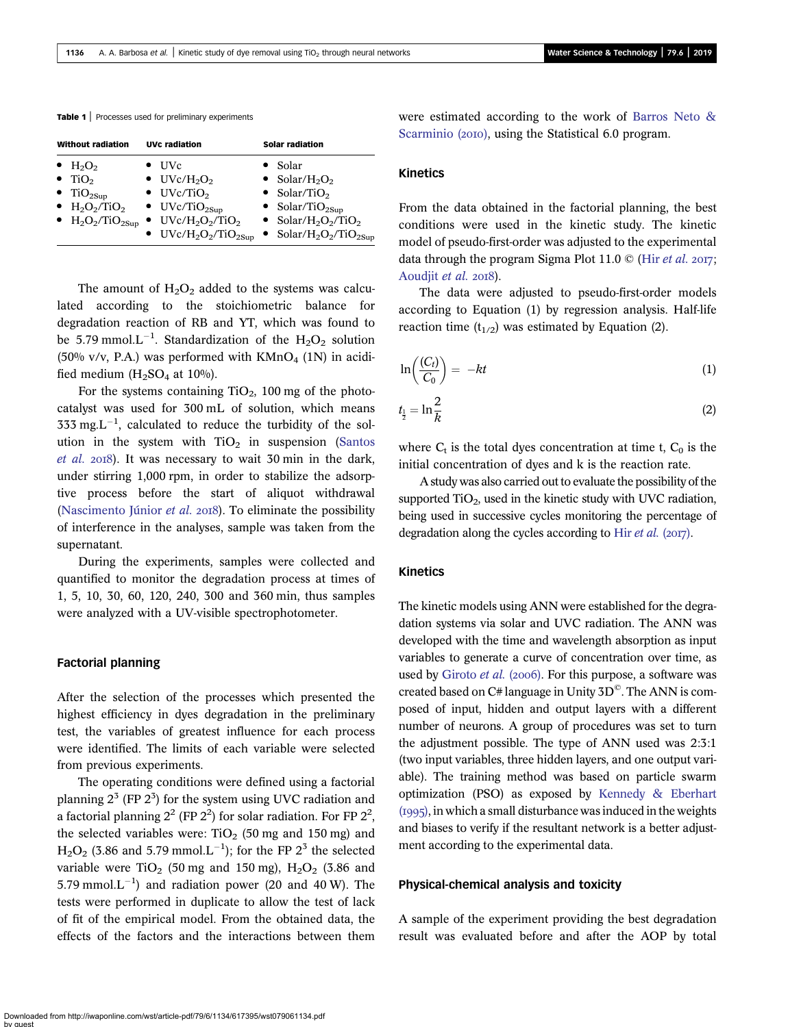<span id="page-2-0"></span>Table 1 | Processes used for preliminary experiments

| <b>Without radiation</b>                                                                                                                                                                                                            | <b>UVc radiation</b>                                                                                                                                                                                                                                                     | <b>Solar radiation</b>                                                                                                                                                                                                                       |
|-------------------------------------------------------------------------------------------------------------------------------------------------------------------------------------------------------------------------------------|--------------------------------------------------------------------------------------------------------------------------------------------------------------------------------------------------------------------------------------------------------------------------|----------------------------------------------------------------------------------------------------------------------------------------------------------------------------------------------------------------------------------------------|
| $\bullet$ H <sub>2</sub> O <sub>2</sub><br>$\bullet$ TiO <sub>2</sub><br>$\bullet$ TiO <sub>2Sup</sub><br>$\bullet$ H <sub>2</sub> O <sub>2</sub> /TiO <sub>2</sub><br>$\bullet$ H <sub>2</sub> O <sub>2</sub> /TiO <sub>2Sup</sub> | $\bullet$ UVc<br>$\bullet$ UVc/H <sub>2</sub> O <sub>2</sub><br>$\bullet$ UVc/TiO <sub>2</sub><br>$\bullet$ UVc/TiO <sub>2Sup</sub><br>$\bullet$ UVc/H <sub>2</sub> O <sub>2</sub> /TiO <sub>2</sub><br>$\bullet$ UVc/H <sub>2</sub> O <sub>2</sub> /TiO <sub>2Sup</sub> | $\bullet$ Solar<br>• Solar/H <sub>2</sub> O <sub>2</sub><br>• Solar/TiO <sub>2</sub><br>• Solar/TiO <sub>2Sun</sub><br>• Solar/H <sub>2</sub> O <sub>2</sub> /TiO <sub>2</sub><br>• Solar/H <sub>2</sub> O <sub>2</sub> /TiO <sub>2Sup</sub> |

The amount of  $H_2O_2$  added to the systems was calculated according to the stoichiometric balance for degradation reaction of RB and YT, which was found to be 5.79 mmol. $L^{-1}$ . Standardization of the  $H_2O_2$  solution (50% v/v, P.A.) was performed with  $KMnO<sub>4</sub>$  (1N) in acidified medium  $(H<sub>2</sub>SO<sub>4</sub>$  at 10%).

For the systems containing  $TiO<sub>2</sub>$ , 100 mg of the photocatalyst was used for 300 mL of solution, which means 333 mg. $L^{-1}$ , calculated to reduce the turbidity of the solution in the system with  $TiO<sub>2</sub>$  in suspension [\(Santos](#page-9-0) [et al.](#page-9-0) 2018). It was necessary to wait 30 min in the dark, under stirring 1,000 rpm, in order to stabilize the adsorptive process before the start of aliquot withdrawal ([Nascimento Júnior](#page-9-0) et al. 2018). To eliminate the possibility of interference in the analyses, sample was taken from the supernatant.

During the experiments, samples were collected and quantified to monitor the degradation process at times of 1, 5, 10, 30, 60, 120, 240, 300 and 360 min, thus samples were analyzed with a UV-visible spectrophotometer.

#### Factorial planning

After the selection of the processes which presented the highest efficiency in dyes degradation in the preliminary test, the variables of greatest influence for each process were identified. The limits of each variable were selected from previous experiments.

The operating conditions were defined using a factorial planning  $2^3$  (FP  $2^3$ ) for the system using UVC radiation and a factorial planning  $2^2$  (FP  $2^2$ ) for solar radiation. For FP  $2^2$ , the selected variables were: TiO<sub>2</sub> (50 mg and 150 mg) and  $H<sub>2</sub>O<sub>2</sub>$  (3.86 and 5.79 mmol.L<sup>-1</sup>); for the FP 2<sup>3</sup> the selected variable were  $TiO<sub>2</sub>$  (50 mg and 150 mg),  $H<sub>2</sub>O<sub>2</sub>$  (3.86 and 5.79 mmol. $L^{-1}$ ) and radiation power (20 and 40 W). The tests were performed in duplicate to allow the test of lack of fit of the empirical model. From the obtained data, the effects of the factors and the interactions between them were estimated according to the work of [Barros Neto &](#page-9-0) [Scarminio \(](#page-9-0)2010), using the Statistical 6.0 program.

#### Kinetics

From the data obtained in the factorial planning, the best conditions were used in the kinetic study. The kinetic model of pseudo-first-order was adjusted to the experimental data through the program Sigma Plot 11.0  $\odot$  (Hir *[et al.](#page-9-0)* 2017; [Aoudjit](#page-9-0) et al. 2018).

The data were adjusted to pseudo-first-order models according to Equation (1) by regression analysis. Half-life reaction time  $(t_{1/2})$  was estimated by Equation (2).

$$
\ln\left(\frac{(C_t)}{C_0}\right) = -kt \tag{1}
$$

$$
t_{\frac{1}{2}} = \ln \frac{2}{k} \tag{2}
$$

where  $C_t$  is the total dyes concentration at time t,  $C_0$  is the initial concentration of dyes and k is the reaction rate.

A study was also carried out to evaluate the possibility of the supported  $TiO<sub>2</sub>$ , used in the kinetic study with UVC radiation, being used in successive cycles monitoring the percentage of degradation along the cycles according to Hir [et al.](#page-9-0)  $(2017)$ .

## Kinetics

The kinetic models using ANN were established for the degradation systems via solar and UVC radiation. The ANN was developed with the time and wavelength absorption as input variables to generate a curve of concentration over time, as used by [Giroto](#page-9-0) et al. (2006). For this purpose, a software was created based on  $C#$  language in Unity 3D<sup>©</sup>. The ANN is composed of input, hidden and output layers with a different number of neurons. A group of procedures was set to turn the adjustment possible. The type of ANN used was 2:3:1 (two input variables, three hidden layers, and one output variable). The training method was based on particle swarm optimization (PSO) as exposed by [Kennedy & Eberhart](#page-9-0)  $(1995)$ , in which a small disturbance was induced in the weights and biases to verify if the resultant network is a better adjustment according to the experimental data.

#### Physical-chemical analysis and toxicity

A sample of the experiment providing the best degradation result was evaluated before and after the AOP by total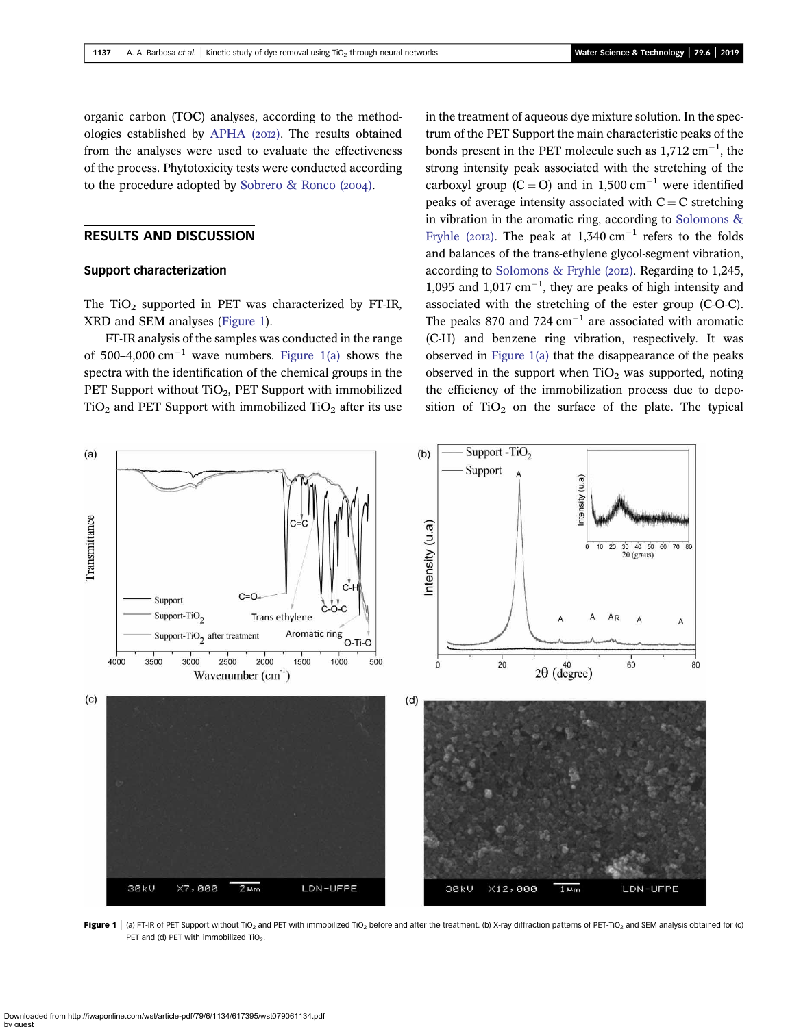<span id="page-3-0"></span>organic carbon (TOC) analyses, according to the method-ologies established by [APHA \(](#page-9-0)2012). The results obtained from the analyses were used to evaluate the effectiveness of the process. Phytotoxicity tests were conducted according to the procedure adopted by Sobrero  $\&$  Ronco (2004).

## RESULTS AND DISCUSSION

#### Support characterization

The TiO<sub>2</sub> supported in PET was characterized by FT-IR, XRD and SEM analyses (Figure 1).

FT-IR analysis of the samples was conducted in the range of 500–4,000 cm<sup>-1</sup> wave numbers. Figure 1(a) shows the spectra with the identification of the chemical groups in the PET Support without TiO<sub>2</sub>, PET Support with immobilized  $TiO<sub>2</sub>$  and PET Support with immobilized  $TiO<sub>2</sub>$  after its use in the treatment of aqueous dye mixture solution. In the spectrum of the PET Support the main characteristic peaks of the bonds present in the PET molecule such as  $1,712 \text{ cm}^{-1}$ , the strong intensity peak associated with the stretching of the carboxyl group (C = O) and in 1,500 cm<sup>-1</sup> were identified peaks of average intensity associated with  $C = C$  stretching in vibration in the aromatic ring, according to [Solomons &](#page-9-0) [Fryhle \(](#page-9-0)2012). The peak at  $1,340 \text{ cm}^{-1}$  refers to the folds and balances of the trans-ethylene glycol-segment vibration, according to [Solomons & Fryhle \(](#page-9-0)2012). Regarding to 1,245, 1,095 and  $1,017$  cm<sup>-1</sup>, they are peaks of high intensity and associated with the stretching of the ester group (C-O-C). The peaks 870 and 724  $cm^{-1}$  are associated with aromatic (C-H) and benzene ring vibration, respectively. It was observed in Figure 1(a) that the disappearance of the peaks observed in the support when  $TiO<sub>2</sub>$  was supported, noting the efficiency of the immobilization process due to deposition of  $TiO<sub>2</sub>$  on the surface of the plate. The typical



Figure 1 | (a) FT-IR of PET Support without TiO<sub>2</sub> and PET with immobilized TiO<sub>2</sub> before and after the treatment. (b) X-ray diffraction patterns of PET-TiO<sub>2</sub> and SEM analysis obtained for (c) PET and (d) PET with immobilized  $TiO<sub>2</sub>$ .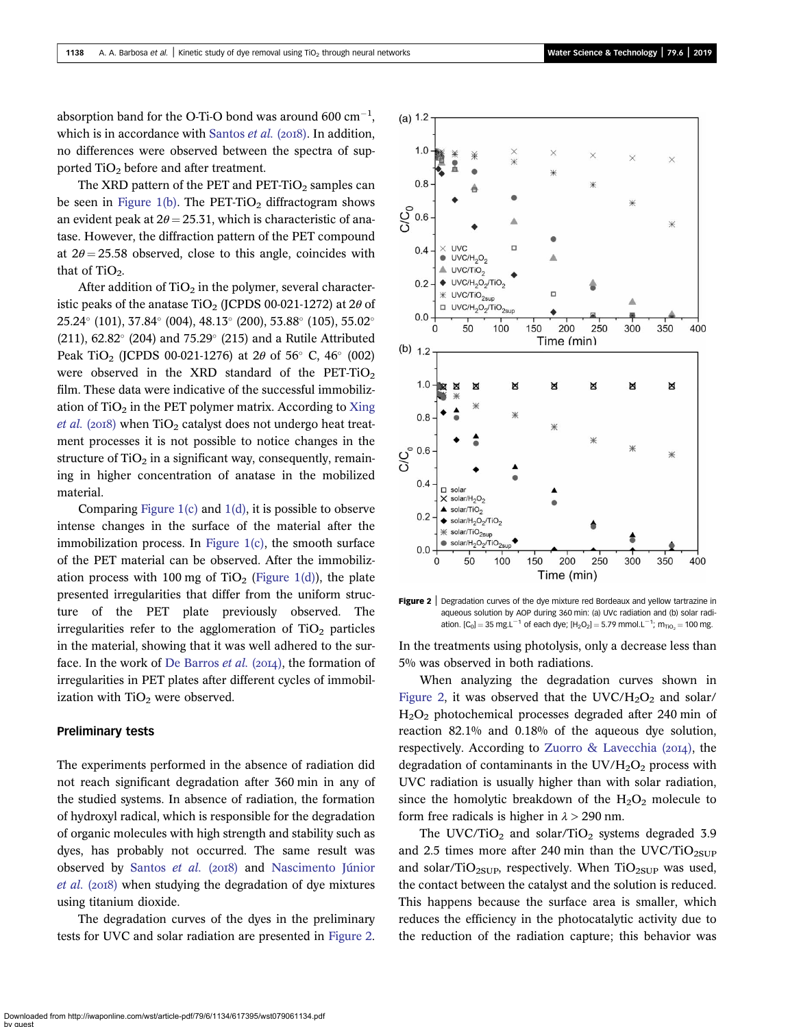absorption band for the O-Ti-O bond was around 600  $\text{cm}^{-1}$ , which is in accordance with [Santos](#page-9-0) *et al.* ( $2018$ ). In addition, no differences were observed between the spectra of supported TiO<sub>2</sub> before and after treatment.

The XRD pattern of the PET and PET-TiO<sub>2</sub> samples can be seen in [Figure 1\(b\).](#page-3-0) The PET-TiO<sub>2</sub> diffractogram shows an evident peak at  $2\theta = 25.31$ , which is characteristic of anatase. However, the diffraction pattern of the PET compound at  $2\theta = 25.58$  observed, close to this angle, coincides with that of  $TiO<sub>2</sub>$ .

After addition of  $TiO<sub>2</sub>$  in the polymer, several characteristic peaks of the anatase  $TiO<sub>2</sub>$  (JCPDS 00-021-1272) at 2 $\theta$  of 25.24° (101), 37.84° (004), 48.13° (200), 53.88° (105), 55.02° (211), 62.82 $^{\circ}$  (204) and 75.29 $^{\circ}$  (215) and a Rutile Attributed Peak TiO<sub>2</sub> (JCPDS 00-021-1276) at 2 $\theta$  of 56° C, 46° (002) were observed in the XRD standard of the PET-TiO<sub>2</sub> film. These data were indicative of the successful immobilization of  $TiO<sub>2</sub>$  in the PET polymer matrix. According to [Xing](#page-9-0) [et al.](#page-9-0) (2018) when  $TiO<sub>2</sub>$  catalyst does not undergo heat treatment processes it is not possible to notice changes in the structure of  $TiO<sub>2</sub>$  in a significant way, consequently, remaining in higher concentration of anatase in the mobilized material.

Comparing Figure  $1(c)$  and  $1(d)$ , it is possible to observe intense changes in the surface of the material after the immobilization process. In Figure  $1(c)$ , the smooth surface of the PET material can be observed. After the immobiliz-ation process with 100 mg of TiO<sub>2</sub> ([Figure 1\(d\)](#page-3-0)), the plate presented irregularities that differ from the uniform structure of the PET plate previously observed. The irregularities refer to the agglomeration of  $TiO<sub>2</sub>$  particles in the material, showing that it was well adhered to the sur-face. In the work of [De Barros](#page-9-0) et al.  $(2014)$ , the formation of irregularities in PET plates after different cycles of immobilization with  $TiO<sub>2</sub>$  were observed.

#### Preliminary tests

The experiments performed in the absence of radiation did not reach significant degradation after 360 min in any of the studied systems. In absence of radiation, the formation of hydroxyl radical, which is responsible for the degradation of organic molecules with high strength and stability such as dyes, has probably not occurred. The same result was observed by [Santos](#page-9-0) et al. (2018) and [Nascimento Júnior](#page-9-0) *[et al.](#page-9-0)* ( $2018$ ) when studying the degradation of dye mixtures using titanium dioxide.

The degradation curves of the dyes in the preliminary tests for UVC and solar radiation are presented in Figure 2.



Figure 2 | Degradation curves of the dye mixture red Bordeaux and yellow tartrazine in aqueous solution by AOP during 360 min: (a) UVc radiation and (b) solar radiation. [C<sub>0</sub>] = 35 mg.L<sup>-1</sup> of each dye; [H<sub>2</sub>O<sub>2</sub>] = 5.79 mmol.L<sup>-1</sup>; m<sub>TiO<sub>2</sub> = 100 mg.</sub>

In the treatments using photolysis, only a decrease less than 5% was observed in both radiations.

When analyzing the degradation curves shown in Figure 2, it was observed that the UVC/H<sub>2</sub>O<sub>2</sub> and solar/ H2O2 photochemical processes degraded after 240 min of reaction 82.1% and 0.18% of the aqueous dye solution, respectively. According to Zuorro & Lavecchia  $(2014)$ , the degradation of contaminants in the  $UV/H<sub>2</sub>O<sub>2</sub>$  process with UVC radiation is usually higher than with solar radiation, since the homolytic breakdown of the  $H_2O_2$  molecule to form free radicals is higher in  $\lambda > 290$  nm.

The UVC/TiO<sub>2</sub> and solar/TiO<sub>2</sub> systems degraded 3.9 and 2.5 times more after 240 min than the UVC/TiO $_{2SUP}$ and solar/TiO<sub>2SUP</sub>, respectively. When TiO<sub>2SUP</sub> was used, the contact between the catalyst and the solution is reduced. This happens because the surface area is smaller, which reduces the efficiency in the photocatalytic activity due to the reduction of the radiation capture; this behavior was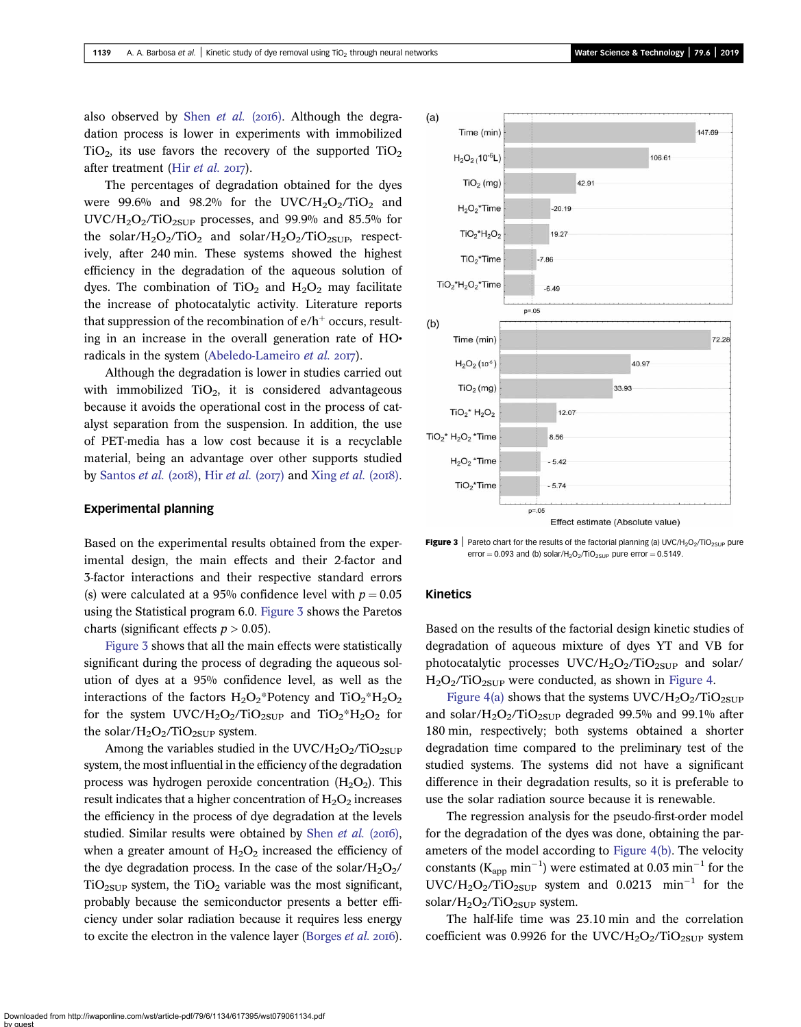also observed by Shen [et al.](#page-9-0) (2016). Although the degradation process is lower in experiments with immobilized  $TiO<sub>2</sub>$ , its use favors the recovery of the supported  $TiO<sub>2</sub>$ after treatment (Hir [et al.](#page-9-0) 2017).

The percentages of degradation obtained for the dyes were 99.6% and 98.2% for the UVC/H<sub>2</sub>O<sub>2</sub>/TiO<sub>2</sub> and  $UVC/H<sub>2</sub>O<sub>2</sub>/TiO<sub>2SUP</sub> processes, and 99.9% and 85.5% for$ the solar/ $H_2O_2/TiO_2$  and solar/ $H_2O_2/TiO_{2SUP}$ , respectively, after 240 min. These systems showed the highest efficiency in the degradation of the aqueous solution of dyes. The combination of TiO<sub>2</sub> and  $H_2O_2$  may facilitate the increase of photocatalytic activity. Literature reports that suppression of the recombination of  $e/h^+$  occurs, resulting in an increase in the overall generation rate of HO• radicals in the system [\(Abeledo-Lameiro](#page-8-0) et al.  $2017$ ).

Although the degradation is lower in studies carried out with immobilized  $TiO<sub>2</sub>$ , it is considered advantageous because it avoids the operational cost in the process of catalyst separation from the suspension. In addition, the use of PET-media has a low cost because it is a recyclable material, being an advantage over other supports studied by [Santos](#page-9-0) *[et al.](#page-9-0)* (2018). Hir *et al.* (2017) and Xing *et al.* (2018).

#### Experimental planning

Based on the experimental results obtained from the experimental design, the main effects and their 2-factor and 3-factor interactions and their respective standard errors (s) were calculated at a 95% confidence level with  $p = 0.05$ using the Statistical program 6.0. Figure 3 shows the Paretos charts (significant effects  $p > 0.05$ ).

Figure 3 shows that all the main effects were statistically significant during the process of degrading the aqueous solution of dyes at a 95% confidence level, as well as the interactions of the factors  $H_2O_2$ \*Potency and Ti $O_2$ \*H<sub>2</sub>O<sub>2</sub> for the system UVC/H<sub>2</sub>O<sub>2</sub>/TiO<sub>2SUP</sub> and TiO<sub>2</sub>\*H<sub>2</sub>O<sub>2</sub> for the solar/ $H_2O_2/TiO_{2SUP}$  system.

Among the variables studied in the UVC/H<sub>2</sub>O<sub>2</sub>/TiO<sub>2SUP</sub> system, the most influential in the efficiency of the degradation process was hydrogen peroxide concentration  $(H_2O_2)$ . This result indicates that a higher concentration of  $H_2O_2$  increases the efficiency in the process of dye degradation at the levels studied. Similar results were obtained by Shen [et al.](#page-9-0)  $(2016)$ , when a greater amount of  $H_2O_2$  increased the efficiency of the dye degradation process. In the case of the solar/ $H_2O_2$ /  $TiO<sub>2SUP</sub>$  system, the  $TiO<sub>2</sub>$  variable was the most significant, probably because the semiconductor presents a better efficiency under solar radiation because it requires less energy to excite the electron in the valence layer ([Borges](#page-9-0) *et al.* 2016).



**Figure 3** Pareto chart for the results of the factorial planning (a) UVC/H<sub>2</sub>O<sub>2</sub>/TiO<sub>2SUP</sub> pure error =  $0.093$  and (b) solar/H<sub>2</sub>O<sub>2</sub>/TiO<sub>2SUP</sub> pure error =  $0.5149$ .

#### Kinetics

Based on the results of the factorial design kinetic studies of degradation of aqueous mixture of dyes YT and VB for photocatalytic processes  $UVC/H_2O_2/TiO_{2SUP}$  and solar/  $H_2O_2/TiO_{2SUP}$  were conducted, as shown in [Figure 4.](#page-6-0)

[Figure 4\(a\)](#page-6-0) shows that the systems  $UVC/H_2O_2/TiO_{2SUP}$ and solar/ $H_2O_2/TiO_{2SUP}$  degraded 99.5% and 99.1% after 180 min, respectively; both systems obtained a shorter degradation time compared to the preliminary test of the studied systems. The systems did not have a significant difference in their degradation results, so it is preferable to use the solar radiation source because it is renewable.

The regression analysis for the pseudo-first-order model for the degradation of the dyes was done, obtaining the parameters of the model according to [Figure 4\(b\)](#page-6-0). The velocity constants ( $K_{app}$  min<sup>-1</sup>) were estimated at 0.03 min<sup>-1</sup> for the  $UVC/H<sub>2</sub>O<sub>2</sub>/TiO<sub>2SUP</sub>$  system and 0.0213 min<sup>-1</sup> for the solar/ $H_2O_2/TiO_{2SUP}$  system.

The half-life time was 23.10 min and the correlation coefficient was 0.9926 for the UVC/H<sub>2</sub>O<sub>2</sub>/TiO<sub>2SUP</sub> system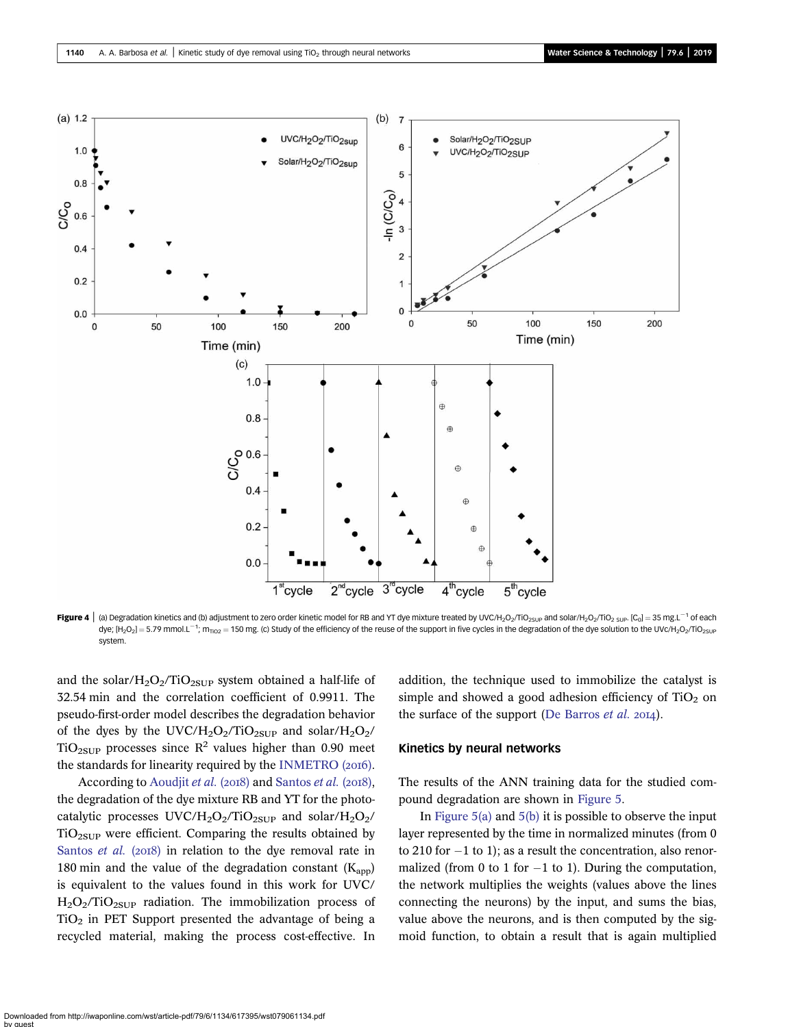<span id="page-6-0"></span>

Figure 4 | (a) Degradation kinetics and (b) adjustment to zero order kinetic model for RB and YT dye mixture treated by UVC/H<sub>2</sub>O<sub>2</sub>/TiO<sub>2SUP</sub> and solar/H<sub>2</sub>O<sub>2</sub>/TiO<sub>2 SUP</sub>. [C<sub>0</sub>] = 35 mg.L<sup>-1</sup> of each dye; [H<sub>2</sub>O<sub>2</sub>] = 5.79 mmol.L<sup>-1</sup>; m<sub>πo2</sub> = 150 mg. (c) Study of the efficiency of the reuse of the support in five cycles in the degradation of the dye solution to the UVc/H<sub>2</sub>O<sub>2</sub>/TiO<sub>2SUF</sub> system.

and the solar/ $H_2O_2/TiO_{2SUP}$  system obtained a half-life of 32.54 min and the correlation coefficient of 0.9911. The pseudo-first-order model describes the degradation behavior of the dyes by the UVC/H<sub>2</sub>O<sub>2</sub>/TiO<sub>2SUP</sub> and solar/H<sub>2</sub>O<sub>2</sub>/ TiO<sub>2SUP</sub> processes since  $R^2$  values higher than 0.90 meet the standards for linearity required by the INMETRO  $(20I6)$ .

According to [Aoudjit](#page-9-0) et al. (2018) and [Santos](#page-9-0) et al. (2018), the degradation of the dye mixture RB and YT for the photocatalytic processes UVC/H<sub>2</sub>O<sub>2</sub>/TiO<sub>2SUP</sub> and solar/H<sub>2</sub>O<sub>2</sub>/  $TiO<sub>2SUP</sub>$  were efficient. Comparing the results obtained by [Santos](#page-9-0) et al.  $(2018)$  in relation to the dye removal rate in 180 min and the value of the degradation constant  $(K_{\text{ann}})$ is equivalent to the values found in this work for UVC/  $H<sub>2</sub>O<sub>2</sub>/TiO<sub>2SUP</sub> radiation. The immobilization process of$  $TiO<sub>2</sub>$  in PET Support presented the advantage of being a recycled material, making the process cost-effective. In addition, the technique used to immobilize the catalyst is simple and showed a good adhesion efficiency of  $TiO<sub>2</sub>$  on the surface of the support ([De Barros](#page-9-0) *et al.* 2014).

#### Kinetics by neural networks

The results of the ANN training data for the studied compound degradation are shown in [Figure 5](#page-7-0).

In Figure  $5(a)$  and  $5(b)$  it is possible to observe the input layer represented by the time in normalized minutes (from 0 to 210 for  $-1$  to 1); as a result the concentration, also renormalized (from 0 to 1 for  $-1$  to 1). During the computation, the network multiplies the weights (values above the lines connecting the neurons) by the input, and sums the bias, value above the neurons, and is then computed by the sigmoid function, to obtain a result that is again multiplied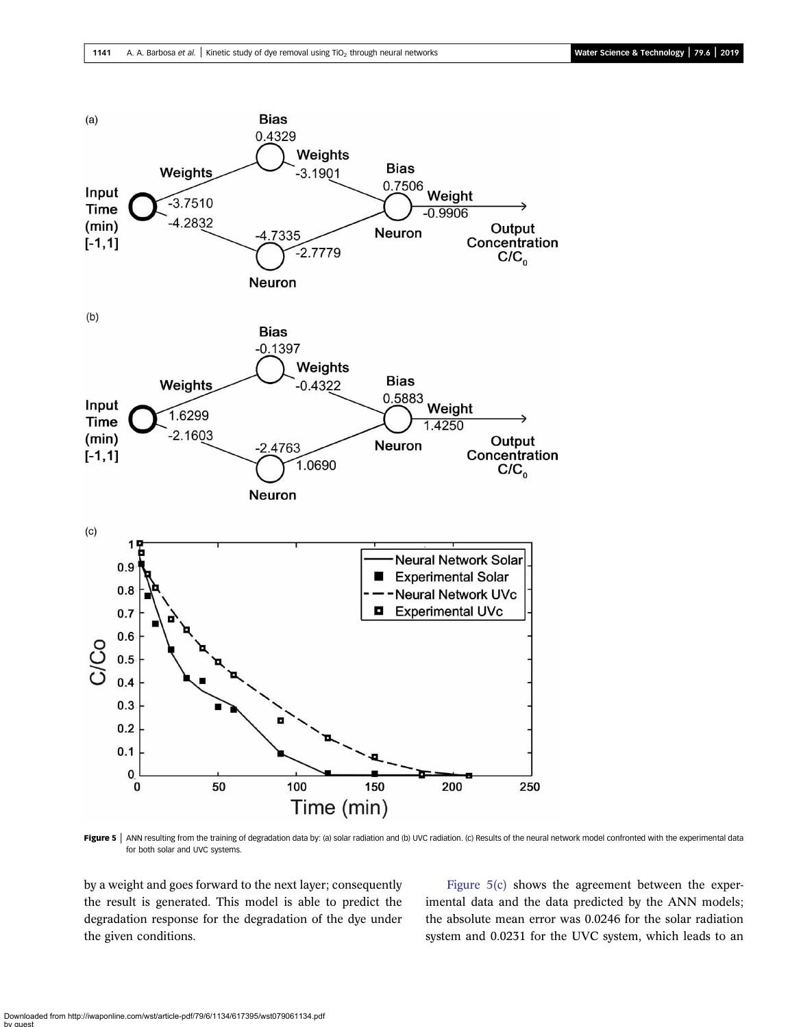<span id="page-7-0"></span>

Figure 5 | ANN resulting from the training of degradation data by: (a) solar radiation and (b) UVC radiation. (c) Results of the neural network model confronted with the experimental data for both solar and UVC systems.

by a weight and goes forward to the next layer; consequently the result is generated. This model is able to predict the degradation response for the degradation of the dye under the given conditions.

Figure 5(c) shows the agreement between the experimental data and the data predicted by the ANN models; the absolute mean error was 0.0246 for the solar radiation system and 0.0231 for the UVC system, which leads to an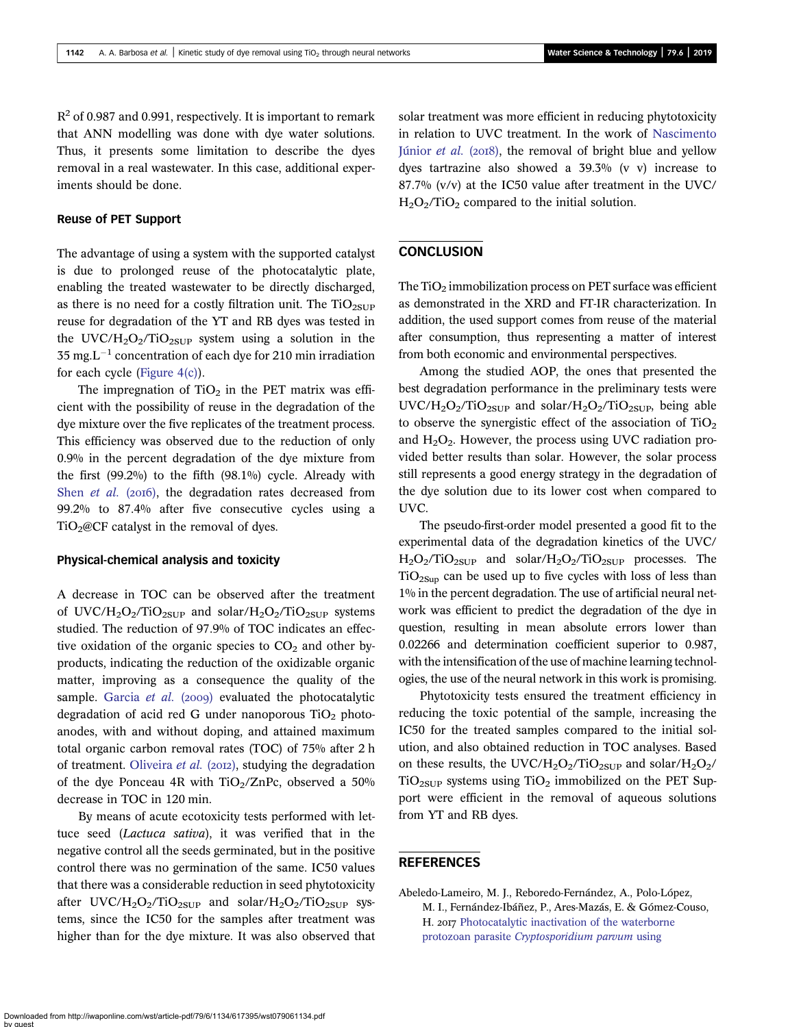<span id="page-8-0"></span> $R<sup>2</sup>$  of 0.987 and 0.991, respectively. It is important to remark that ANN modelling was done with dye water solutions. Thus, it presents some limitation to describe the dyes removal in a real wastewater. In this case, additional experiments should be done.

## Reuse of PET Support

The advantage of using a system with the supported catalyst is due to prolonged reuse of the photocatalytic plate, enabling the treated wastewater to be directly discharged, as there is no need for a costly filtration unit. The  $TiO_{2SUP}$ reuse for degradation of the YT and RB dyes was tested in the UVC/H<sub>2</sub>O<sub>2</sub>/TiO<sub>2SUP</sub> system using a solution in the  $35 \text{ mg}$ . L<sup>-1</sup> concentration of each dye for 210 min irradiation for each cycle [\(Figure 4\(c\)\)](#page-6-0).

The impregnation of  $TiO<sub>2</sub>$  in the PET matrix was efficient with the possibility of reuse in the degradation of the dye mixture over the five replicates of the treatment process. This efficiency was observed due to the reduction of only 0.9% in the percent degradation of the dye mixture from the first (99.2%) to the fifth (98.1%) cycle. Already with Shen *[et al.](#page-9-0)* ( $20I6$ ), the degradation rates decreased from 99.2% to 87.4% after five consecutive cycles using a  $TiO<sub>2</sub>@CF$  catalyst in the removal of dyes.

#### Physical-chemical analysis and toxicity

A decrease in TOC can be observed after the treatment of UVC/H<sub>2</sub>O<sub>2</sub>/TiO<sub>2SUP</sub> and solar/H<sub>2</sub>O<sub>2</sub>/TiO<sub>2SUP</sub> systems studied. The reduction of 97.9% of TOC indicates an effective oxidation of the organic species to  $CO<sub>2</sub>$  and other byproducts, indicating the reduction of the oxidizable organic matter, improving as a consequence the quality of the sample. [Garcia](#page-9-0) et al.  $(2009)$  evaluated the photocatalytic degradation of acid red G under nanoporous  $TiO<sub>2</sub>$  photoanodes, with and without doping, and attained maximum total organic carbon removal rates (TOC) of 75% after 2 h of treatment. [Oliveira](#page-9-0) et al. (2012), studying the degradation of the dye Ponceau 4R with  $TiO<sub>2</sub>/ZnPc$ , observed a 50% decrease in TOC in 120 min.

By means of acute ecotoxicity tests performed with lettuce seed (Lactuca sativa), it was verified that in the negative control all the seeds germinated, but in the positive control there was no germination of the same. IC50 values that there was a considerable reduction in seed phytotoxicity after  $UVC/H_2O_2/TiO_{2SUP}$  and solar/ $H_2O_2/TiO_{2SUP}$  systems, since the IC50 for the samples after treatment was higher than for the dye mixture. It was also observed that solar treatment was more efficient in reducing phytotoxicity in relation to UVC treatment. In the work of [Nascimento](#page-9-0) [Júnior](#page-9-0) et al. (2018), the removal of bright blue and yellow dyes tartrazine also showed a 39.3% (v v) increase to 87.7% (v/v) at the IC50 value after treatment in the UVC/  $H<sub>2</sub>O<sub>2</sub>/TiO<sub>2</sub> compared to the initial solution.$ 

## **CONCLUSION**

The  $TiO<sub>2</sub>$  immobilization process on PET surface was efficient as demonstrated in the XRD and FT-IR characterization. In addition, the used support comes from reuse of the material after consumption, thus representing a matter of interest from both economic and environmental perspectives.

Among the studied AOP, the ones that presented the best degradation performance in the preliminary tests were  $UVC/H_2O_2/TiO_{2SUP}$  and solar/ $H_2O_2/TiO_{2SUP}$ , being able to observe the synergistic effect of the association of  $TiO<sub>2</sub>$ and  $H<sub>2</sub>O<sub>2</sub>$ . However, the process using UVC radiation provided better results than solar. However, the solar process still represents a good energy strategy in the degradation of the dye solution due to its lower cost when compared to UVC.

The pseudo-first-order model presented a good fit to the experimental data of the degradation kinetics of the UVC/  $H_2O_2/TiO_{2SUP}$  and solar/ $H_2O_2/TiO_{2SUP}$  processes. The  $TiO<sub>2Sup</sub>$  can be used up to five cycles with loss of less than 1% in the percent degradation. The use of artificial neural network was efficient to predict the degradation of the dye in question, resulting in mean absolute errors lower than 0.02266 and determination coefficient superior to 0.987, with the intensification of the use of machine learning technologies, the use of the neural network in this work is promising.

Phytotoxicity tests ensured the treatment efficiency in reducing the toxic potential of the sample, increasing the IC50 for the treated samples compared to the initial solution, and also obtained reduction in TOC analyses. Based on these results, the UVC/H<sub>2</sub>O<sub>2</sub>/TiO<sub>2SUP</sub> and solar/H<sub>2</sub>O<sub>2</sub>/  $TiO<sub>2SUP</sub>$  systems using  $TiO<sub>2</sub>$  immobilized on the PET Support were efficient in the removal of aqueous solutions from YT and RB dyes.

## **REFERENCES**

Abeledo-Lameiro, M. J., Reboredo-Fernández, A., Polo-López, M. I., Fernández-Ibáñez, P., Ares-Mazás, E. & Gómez-Couso, H. 2017 [Photocatalytic inactivation of the waterborne](http://dx.doi.org/10.1016/j.cattod.2016.05.046) protozoan parasite [Cryptosporidium parvum](http://dx.doi.org/10.1016/j.cattod.2016.05.046) using